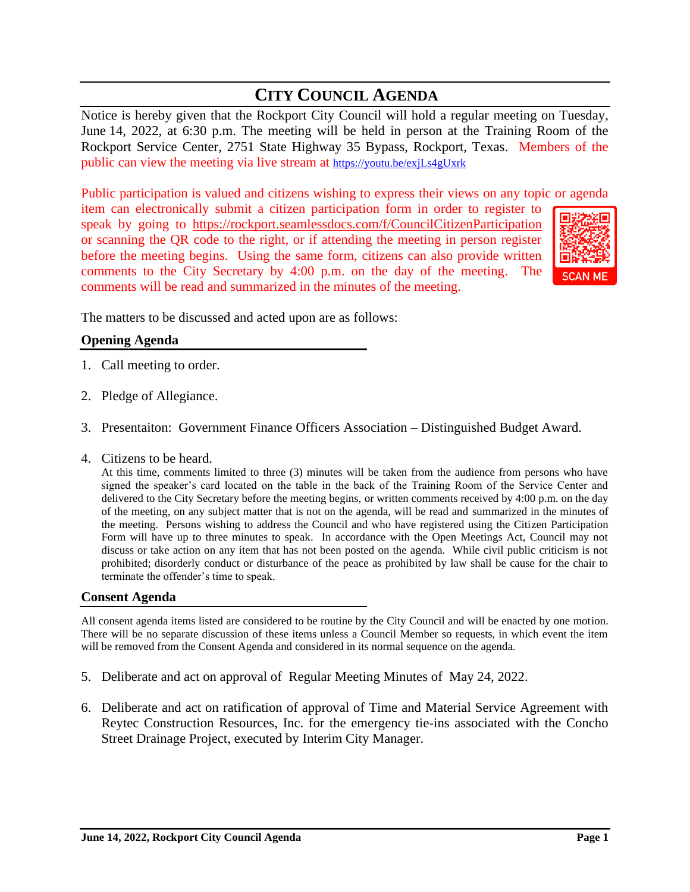# **CITY COUNCIL AGENDA**

Notice is hereby given that the Rockport City Council will hold a regular meeting on Tuesday, June 14, 2022, at 6:30 p.m. The meeting will be held in person at the Training Room of the Rockport Service Center, 2751 State Highway 35 Bypass, Rockport, Texas. Members of the public can view the meeting via live stream at <https://youtu.be/exjLs4gUxrk>

Public participation is valued and citizens wishing to express their views on any topic or agenda

item can electronically submit a citizen participation form in order to register to speak by going to <https://rockport.seamlessdocs.com/f/CouncilCitizenParticipation> or scanning the QR code to the right, or if attending the meeting in person register before the meeting begins. Using the same form, citizens can also provide written comments to the City Secretary by 4:00 p.m. on the day of the meeting. The comments will be read and summarized in the minutes of the meeting.



The matters to be discussed and acted upon are as follows:

### **Opening Agenda**

- 1. Call meeting to order.
- 2. Pledge of Allegiance.
- 3. Presentaiton: Government Finance Officers Association Distinguished Budget Award.
- 4. Citizens to be heard.

At this time, comments limited to three (3) minutes will be taken from the audience from persons who have signed the speaker's card located on the table in the back of the Training Room of the Service Center and delivered to the City Secretary before the meeting begins, or written comments received by 4:00 p.m. on the day of the meeting, on any subject matter that is not on the agenda, will be read and summarized in the minutes of the meeting. Persons wishing to address the Council and who have registered using the Citizen Participation Form will have up to three minutes to speak. In accordance with the Open Meetings Act, Council may not discuss or take action on any item that has not been posted on the agenda. While civil public criticism is not prohibited; disorderly conduct or disturbance of the peace as prohibited by law shall be cause for the chair to terminate the offender's time to speak.

#### **Consent Agenda**

All consent agenda items listed are considered to be routine by the City Council and will be enacted by one motion. There will be no separate discussion of these items unless a Council Member so requests, in which event the item will be removed from the Consent Agenda and considered in its normal sequence on the agenda.

- 5. Deliberate and act on approval of Regular Meeting Minutes of May 24, 2022.
- 6. Deliberate and act on ratification of approval of Time and Material Service Agreement with Reytec Construction Resources, Inc. for the emergency tie-ins associated with the Concho Street Drainage Project, executed by Interim City Manager.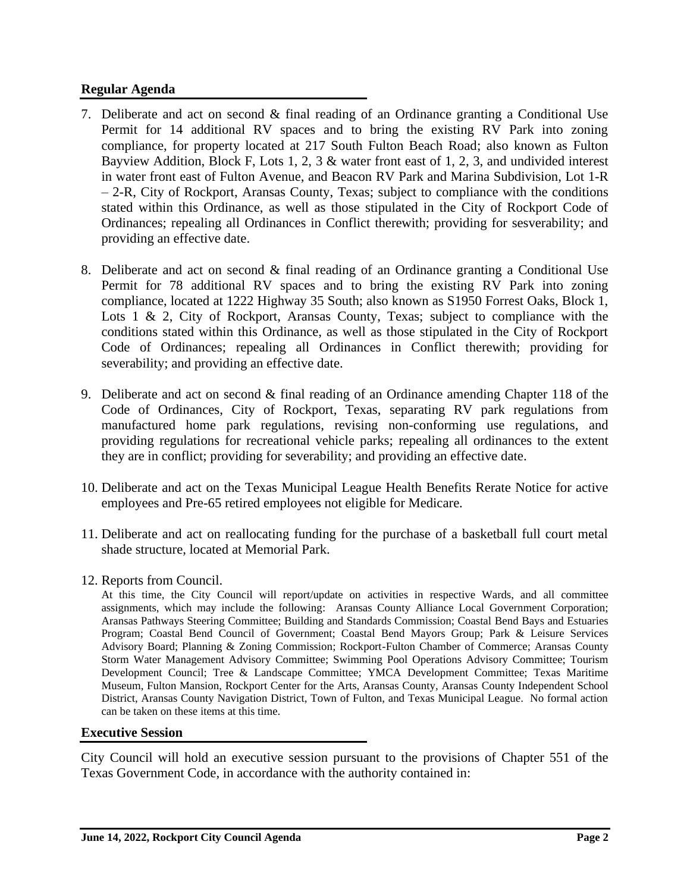## **Regular Agenda**

- 7. Deliberate and act on second & final reading of an Ordinance granting a Conditional Use Permit for 14 additional RV spaces and to bring the existing RV Park into zoning compliance, for property located at 217 South Fulton Beach Road; also known as Fulton Bayview Addition, Block F, Lots 1, 2, 3 & water front east of 1, 2, 3, and undivided interest in water front east of Fulton Avenue, and Beacon RV Park and Marina Subdivision, Lot 1-R – 2-R, City of Rockport, Aransas County, Texas; subject to compliance with the conditions stated within this Ordinance, as well as those stipulated in the City of Rockport Code of Ordinances; repealing all Ordinances in Conflict therewith; providing for sesverability; and providing an effective date.
- 8. Deliberate and act on second & final reading of an Ordinance granting a Conditional Use Permit for 78 additional RV spaces and to bring the existing RV Park into zoning compliance, located at 1222 Highway 35 South; also known as S1950 Forrest Oaks, Block 1, Lots 1 & 2, City of Rockport, Aransas County, Texas; subject to compliance with the conditions stated within this Ordinance, as well as those stipulated in the City of Rockport Code of Ordinances; repealing all Ordinances in Conflict therewith; providing for severability; and providing an effective date.
- 9. Deliberate and act on second & final reading of an Ordinance amending Chapter 118 of the Code of Ordinances, City of Rockport, Texas, separating RV park regulations from manufactured home park regulations, revising non-conforming use regulations, and providing regulations for recreational vehicle parks; repealing all ordinances to the extent they are in conflict; providing for severability; and providing an effective date.
- 10. Deliberate and act on the Texas Municipal League Health Benefits Rerate Notice for active employees and Pre-65 retired employees not eligible for Medicare.
- 11. Deliberate and act on reallocating funding for the purchase of a basketball full court metal shade structure, located at Memorial Park.
- 12. Reports from Council.

At this time, the City Council will report/update on activities in respective Wards, and all committee assignments, which may include the following: Aransas County Alliance Local Government Corporation; Aransas Pathways Steering Committee; Building and Standards Commission; Coastal Bend Bays and Estuaries Program; Coastal Bend Council of Government; Coastal Bend Mayors Group; Park & Leisure Services Advisory Board; Planning & Zoning Commission; Rockport-Fulton Chamber of Commerce; Aransas County Storm Water Management Advisory Committee; Swimming Pool Operations Advisory Committee; Tourism Development Council; Tree & Landscape Committee; YMCA Development Committee; Texas Maritime Museum, Fulton Mansion, Rockport Center for the Arts, Aransas County, Aransas County Independent School District, Aransas County Navigation District, Town of Fulton, and Texas Municipal League. No formal action can be taken on these items at this time.

### **Executive Session**

City Council will hold an executive session pursuant to the provisions of Chapter 551 of the Texas Government Code, in accordance with the authority contained in: